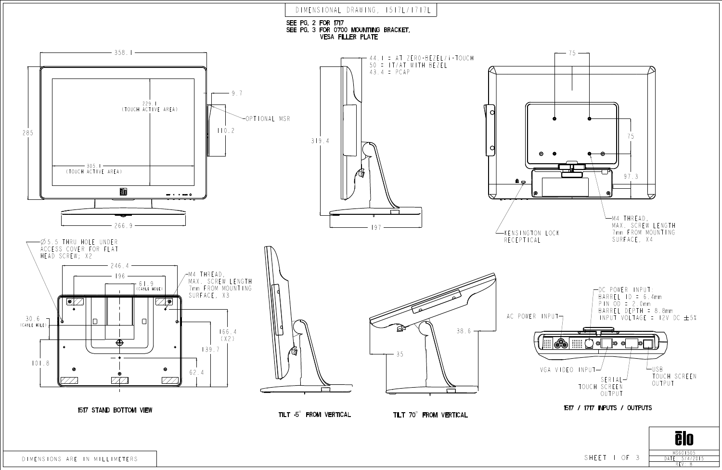REV: B <u>DAIL: 5/4/2015</u>



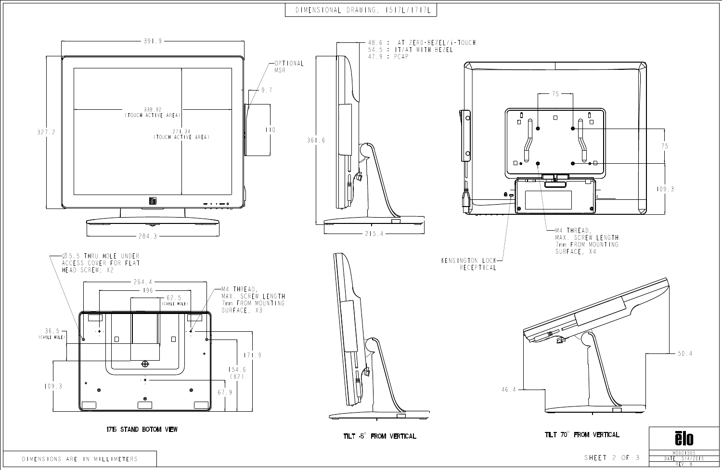## DIMENSIONAL DRAWING, 1517L/1717L